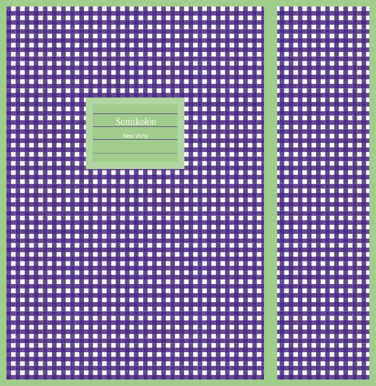